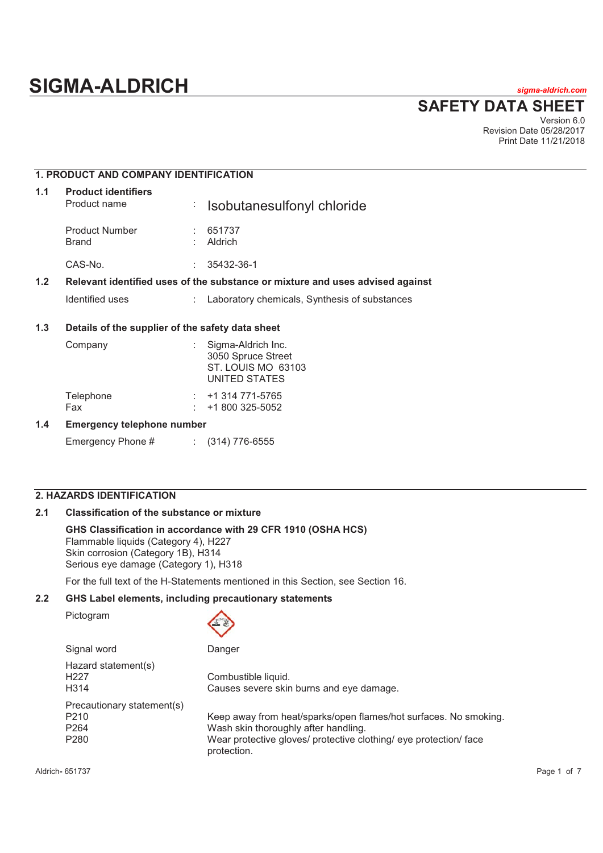**SAFETY DATA SHEET** Version 6.0

Revision Date 05/28/2017 Print Date 11/21/2018

# **1. PRODUCT AND COMPANY IDENTIFICATION**

| 1.1 | <b>Product identifiers</b><br>Product name | <b>Exercise Solutanesulfonyl chloride</b> |
|-----|--------------------------------------------|-------------------------------------------|
|     | <b>Product Number</b><br><b>Brand</b>      | 651737<br><b>Aldrich</b>                  |
|     | CAS-No.                                    | 35432-36-1                                |
|     |                                            |                                           |

# **1.2 Relevant identified uses of the substance or mixture and uses advised against**

Identified uses : Laboratory chemicals, Synthesis of substances

# **1.3 Details of the supplier of the safety data sheet**

| Company                    | Sigma-Aldrich Inc.<br>3050 Spruce Street<br>ST. LOUIS MO 63103<br>UNITED STATES |
|----------------------------|---------------------------------------------------------------------------------|
| Telephone<br>Fax           | +1 314 771-5765<br>+1 800 325-5052                                              |
| Emarganau talanhana numbar |                                                                                 |

# **1.4 Emergency telephone number**

Emergency Phone # : (314) 776-6555

# **2. HAZARDS IDENTIFICATION**

# **2.1 Classification of the substance or mixture**

# **GHS Classification in accordance with 29 CFR 1910 (OSHA HCS)**

Flammable liquids (Category 4), H227 Skin corrosion (Category 1B), H314 Serious eye damage (Category 1), H318

For the full text of the H-Statements mentioned in this Section, see Section 16.

# **2.2 GHS Label elements, including precautionary statements**

Pictogram

| Signal word                                                                            | Danger                                                                                                                                                                                       |
|----------------------------------------------------------------------------------------|----------------------------------------------------------------------------------------------------------------------------------------------------------------------------------------------|
| Hazard statement(s)<br>H <sub>22</sub> 7<br>H <sub>3</sub> 14                          | Combustible liquid.<br>Causes severe skin burns and eye damage.                                                                                                                              |
| Precautionary statement(s)<br>P <sub>210</sub><br>P <sub>264</sub><br>P <sub>280</sub> | Keep away from heat/sparks/open flames/hot surfaces. No smoking.<br>Wash skin thoroughly after handling.<br>Wear protective gloves/ protective clothing/ eye protection/ face<br>protection. |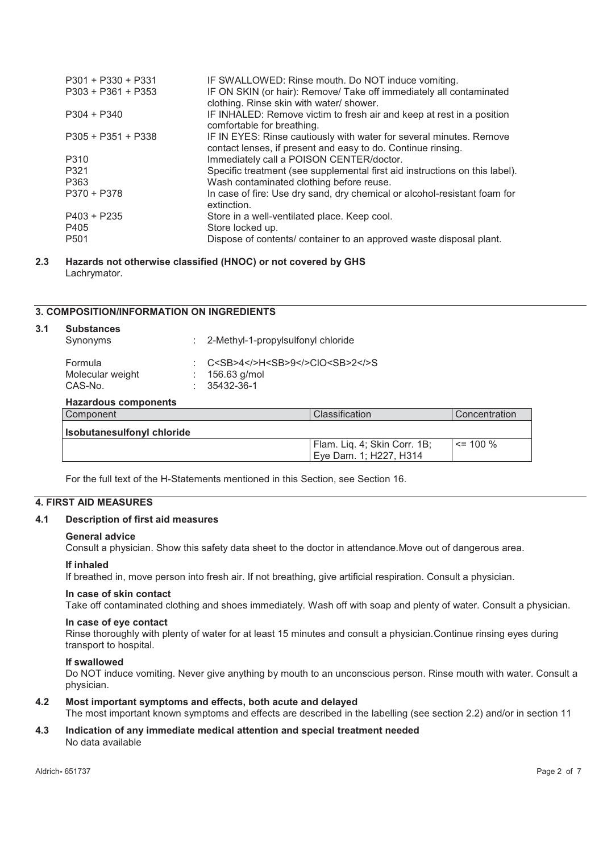| $P301 + P330 + P331$<br>$P303 + P361 + P353$ | IF SWALLOWED: Rinse mouth. Do NOT induce vomiting.<br>IF ON SKIN (or hair): Remove/ Take off immediately all contaminated<br>clothing. Rinse skin with water/ shower. |
|----------------------------------------------|-----------------------------------------------------------------------------------------------------------------------------------------------------------------------|
| $P304 + P340$                                | IF INHALED: Remove victim to fresh air and keep at rest in a position<br>comfortable for breathing.                                                                   |
| $P305 + P351 + P338$                         | IF IN EYES: Rinse cautiously with water for several minutes. Remove<br>contact lenses, if present and easy to do. Continue rinsing.                                   |
| P310                                         | Immediately call a POISON CENTER/doctor.                                                                                                                              |
| P321                                         | Specific treatment (see supplemental first aid instructions on this label).                                                                                           |
| P363                                         | Wash contaminated clothing before reuse.                                                                                                                              |
| P370 + P378                                  | In case of fire: Use dry sand, dry chemical or alcohol-resistant foam for<br>extinction.                                                                              |
| $P403 + P235$                                | Store in a well-ventilated place. Keep cool.                                                                                                                          |
| P405                                         | Store locked up.                                                                                                                                                      |
| P <sub>501</sub>                             | Dispose of contents/ container to an approved waste disposal plant.                                                                                                   |

## **2.3 Hazards not otherwise classified (HNOC) or not covered by GHS**  Lachrymator.

# **3. COMPOSITION/INFORMATION ON INGREDIENTS**

| <b>Substances</b><br>Synonyms          | : 2-Methyl-1-propylsulfonyl chloride                        |                                                        |               |
|----------------------------------------|-------------------------------------------------------------|--------------------------------------------------------|---------------|
| Formula<br>Molecular weight<br>CAS-No. | C <sb>4A9CIO<sb>2<br/>156.63 g/mol<br/>35432-36-1</sb></sb> |                                                        |               |
| <b>Hazardous components</b>            |                                                             |                                                        |               |
| Component                              |                                                             | Classification                                         | Concentration |
| <b>Isobutanesulfonyl chloride</b>      |                                                             |                                                        |               |
|                                        |                                                             | Flam. Liq. 4; Skin Corr. 1B;<br>Eye Dam. 1; H227, H314 | $\leq$ 100 %  |

For the full text of the H-Statements mentioned in this Section, see Section 16.

# **4. FIRST AID MEASURES**

#### **4.1 Description of first aid measures**

#### **General advice**

Consult a physician. Show this safety data sheet to the doctor in attendance.Move out of dangerous area.

#### **If inhaled**

If breathed in, move person into fresh air. If not breathing, give artificial respiration. Consult a physician.

# **In case of skin contact**

Take off contaminated clothing and shoes immediately. Wash off with soap and plenty of water. Consult a physician.

#### **In case of eye contact**

Rinse thoroughly with plenty of water for at least 15 minutes and consult a physician.Continue rinsing eyes during transport to hospital.

#### **If swallowed**

Do NOT induce vomiting. Never give anything by mouth to an unconscious person. Rinse mouth with water. Consult a physician.

#### **4.2 Most important symptoms and effects, both acute and delayed**

The most important known symptoms and effects are described in the labelling (see section 2.2) and/or in section 11

## **4.3 Indication of any immediate medical attention and special treatment needed**  No data available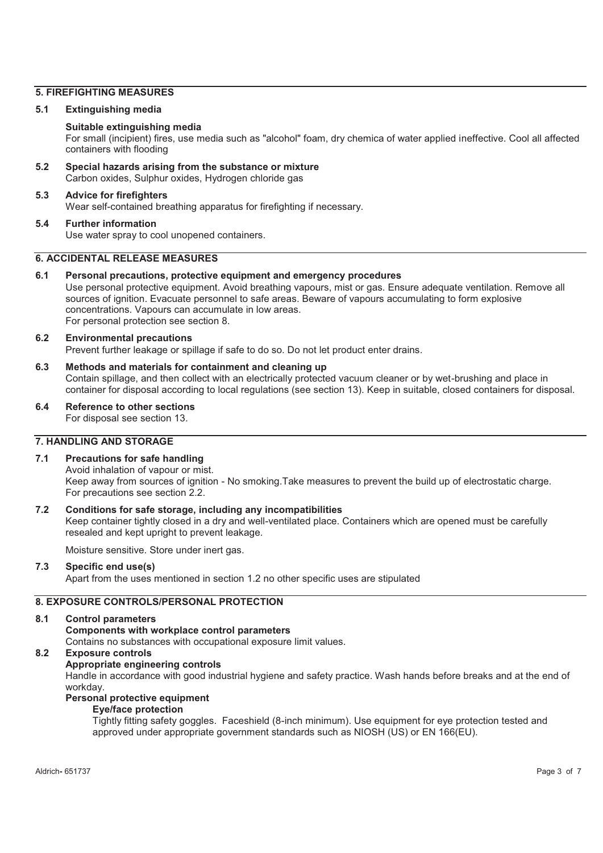# **5. FIREFIGHTING MEASURES**

## **5.1 Extinguishing media**

# **Suitable extinguishing media**

For small (incipient) fires, use media such as "alcohol" foam, dry chemica of water applied ineffective. Cool all affected containers with flooding

**5.2 Special hazards arising from the substance or mixture**  Carbon oxides, Sulphur oxides, Hydrogen chloride gas

#### **5.3 Advice for firefighters**  Wear self-contained breathing apparatus for firefighting if necessary.

## **5.4 Further information**  Use water spray to cool unopened containers.

## **6. ACCIDENTAL RELEASE MEASURES**

# **6.1 Personal precautions, protective equipment and emergency procedures**

Use personal protective equipment. Avoid breathing vapours, mist or gas. Ensure adequate ventilation. Remove all sources of ignition. Evacuate personnel to safe areas. Beware of vapours accumulating to form explosive concentrations. Vapours can accumulate in low areas. For personal protection see section 8.

#### **6.2 Environmental precautions**  Prevent further leakage or spillage if safe to do so. Do not let product enter drains.

# **6.3 Methods and materials for containment and cleaning up**  Contain spillage, and then collect with an electrically protected vacuum cleaner or by wet-brushing and place in container for disposal according to local regulations (see section 13). Keep in suitable, closed containers for disposal.

# **6.4 Reference to other sections**

For disposal see section 13.

# **7. HANDLING AND STORAGE**

# **7.1 Precautions for safe handling**

Avoid inhalation of vapour or mist. Keep away from sources of ignition - No smoking.Take measures to prevent the build up of electrostatic charge. For precautions see section 2.2.

## **7.2 Conditions for safe storage, including any incompatibilities**

Keep container tightly closed in a dry and well-ventilated place. Containers which are opened must be carefully resealed and kept upright to prevent leakage.

Moisture sensitive. Store under inert gas.

# **7.3 Specific end use(s)**

Apart from the uses mentioned in section 1.2 no other specific uses are stipulated

# **8. EXPOSURE CONTROLS/PERSONAL PROTECTION**

## **8.1 Control parameters**

**Components with workplace control parameters** 

Contains no substances with occupational exposure limit values.

# **8.2 Exposure controls**

## **Appropriate engineering controls**

Handle in accordance with good industrial hygiene and safety practice. Wash hands before breaks and at the end of workday.

## **Personal protective equipment**

## **Eye/face protection**

Tightly fitting safety goggles. Faceshield (8-inch minimum). Use equipment for eye protection tested and approved under appropriate government standards such as NIOSH (US) or EN 166(EU).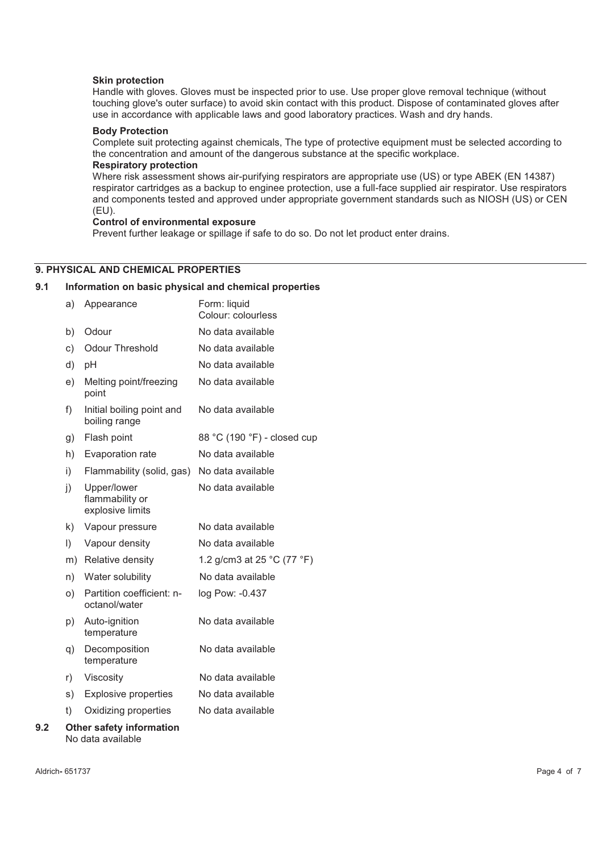#### **Skin protection**

Handle with gloves. Gloves must be inspected prior to use. Use proper glove removal technique (without touching glove's outer surface) to avoid skin contact with this product. Dispose of contaminated gloves after use in accordance with applicable laws and good laboratory practices. Wash and dry hands.

# **Body Protection**

Complete suit protecting against chemicals, The type of protective equipment must be selected according to the concentration and amount of the dangerous substance at the specific workplace.

#### **Respiratory protection**

Where risk assessment shows air-purifying respirators are appropriate use (US) or type ABEK (EN 14387) respirator cartridges as a backup to enginee protection, use a full-face supplied air respirator. Use respirators and components tested and approved under appropriate government standards such as NIOSH (US) or CEN (EU).

#### **Control of environmental exposure**

Prevent further leakage or spillage if safe to do so. Do not let product enter drains.

# **9. PHYSICAL AND CHEMICAL PROPERTIES**

#### **9.1 Information on basic physical and chemical properties**

|     | a)        | Appearance                                           | Form: liquid<br>Colour: colourless |
|-----|-----------|------------------------------------------------------|------------------------------------|
|     | b)        | Odour                                                | No data available                  |
|     | c)        | <b>Odour Threshold</b>                               | No data available                  |
|     | d)        | рH                                                   | No data available                  |
|     | e)        | Melting point/freezing<br>point                      | No data available                  |
|     | f)        | Initial boiling point and<br>boiling range           | No data available                  |
|     | g)        | Flash point                                          | 88 °C (190 °F) - closed cup        |
|     | h)        | Evaporation rate                                     | No data available                  |
|     | i)        | Flammability (solid, gas) No data available          |                                    |
|     | j)        | Upper/lower<br>flammability or<br>explosive limits   | No data available                  |
|     | k)        | Vapour pressure                                      | No data available                  |
|     | $\vert$ ) | Vapour density                                       | No data available                  |
|     |           | m) Relative density                                  | 1.2 g/cm3 at 25 $°C$ (77 $°F$ )    |
|     | n)        | Water solubility                                     | No data available                  |
|     | O         | Partition coefficient: n-<br>octanol/water           | log Pow: -0.437                    |
|     | p)        | Auto-ignition<br>temperature                         | No data available                  |
|     | q)        | Decomposition<br>temperature                         | No data available                  |
|     | r)        | Viscosity                                            | No data available                  |
|     | s)        | <b>Explosive properties</b>                          | No data available                  |
|     | t)        | Oxidizing properties                                 | No data available                  |
| 9.2 |           | <b>Other safety information</b><br>No data available |                                    |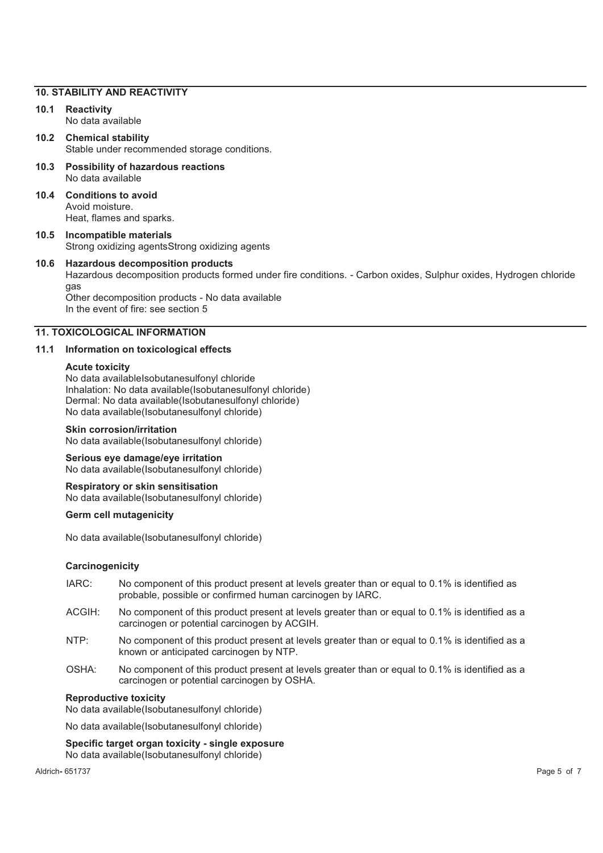#### **10. STABILITY AND REACTIVITY**

# **10.1 Reactivity**

No data available

**10.2 Chemical stability**  Stable under recommended storage conditions.

- **10.3 Possibility of hazardous reactions**  No data available
- **10.4 Conditions to avoid**  Avoid moisture. Heat, flames and sparks.
- **10.5 Incompatible materials**  Strong oxidizing agentsStrong oxidizing agents

#### **10.6 Hazardous decomposition products**  Hazardous decomposition products formed under fire conditions. - Carbon oxides, Sulphur oxides, Hydrogen chloride gas Other decomposition products - No data available

In the event of fire: see section 5

# **11. TOXICOLOGICAL INFORMATION**

# **11.1 Information on toxicological effects**

#### **Acute toxicity**

No data availableIsobutanesulfonyl chloride Inhalation: No data available(Isobutanesulfonyl chloride) Dermal: No data available(Isobutanesulfonyl chloride) No data available(Isobutanesulfonyl chloride)

#### **Skin corrosion/irritation**

No data available(Isobutanesulfonyl chloride)

# **Serious eye damage/eye irritation**

No data available(Isobutanesulfonyl chloride)

# **Respiratory or skin sensitisation**

No data available(Isobutanesulfonyl chloride)

# **Germ cell mutagenicity**

No data available(Isobutanesulfonyl chloride)

## **Carcinogenicity**

- IARC: No component of this product present at levels greater than or equal to 0.1% is identified as probable, possible or confirmed human carcinogen by IARC.
- ACGIH: No component of this product present at levels greater than or equal to 0.1% is identified as a carcinogen or potential carcinogen by ACGIH.
- NTP: No component of this product present at levels greater than or equal to 0.1% is identified as a known or anticipated carcinogen by NTP.
- OSHA: No component of this product present at levels greater than or equal to 0.1% is identified as a carcinogen or potential carcinogen by OSHA.

#### **Reproductive toxicity**

No data available(Isobutanesulfonyl chloride)

No data available(Isobutanesulfonyl chloride)

#### **Specific target organ toxicity - single exposure**

No data available(Isobutanesulfonyl chloride)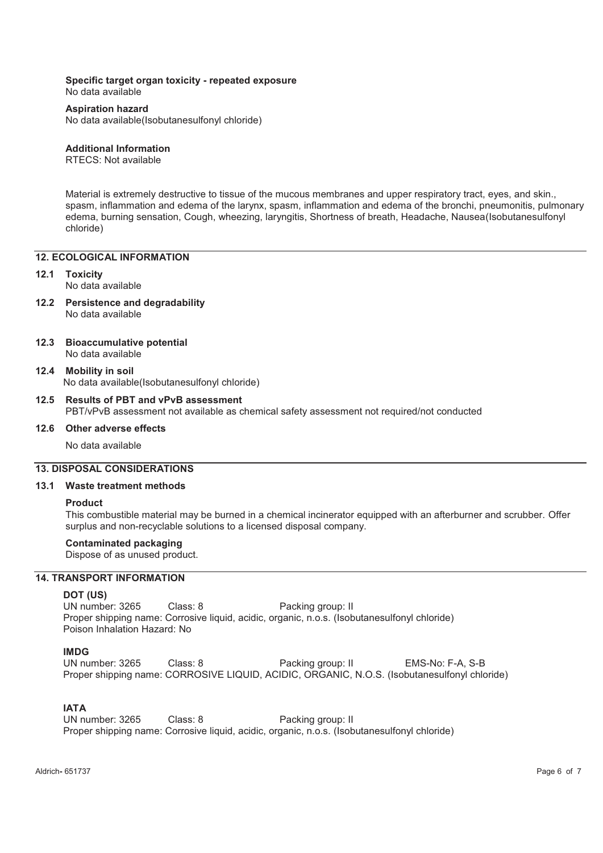#### **Specific target organ toxicity - repeated exposure**

No data available

# **Aspiration hazard**

No data available(Isobutanesulfonyl chloride)

# **Additional Information**

RTECS: Not available

Material is extremely destructive to tissue of the mucous membranes and upper respiratory tract, eyes, and skin., spasm, inflammation and edema of the larynx, spasm, inflammation and edema of the bronchi, pneumonitis, pulmonary edema, burning sensation, Cough, wheezing, laryngitis, Shortness of breath, Headache, Nausea(Isobutanesulfonyl chloride)

# **12. ECOLOGICAL INFORMATION**

# **12.1 Toxicity**

No data available

- **12.2 Persistence and degradability**  No data available
- **12.3 Bioaccumulative potential**  No data available
- **12.4 Mobility in soil**  No data available(Isobutanesulfonyl chloride)

# **12.5 Results of PBT and vPvB assessment**  PBT/vPvB assessment not available as chemical safety assessment not required/not conducted

## **12.6 Other adverse effects**

No data available

## **13. DISPOSAL CONSIDERATIONS**

#### **13.1 Waste treatment methods**

#### **Product**

This combustible material may be burned in a chemical incinerator equipped with an afterburner and scrubber. Offer surplus and non-recyclable solutions to a licensed disposal company.

## **Contaminated packaging**

Dispose of as unused product.

### **14. TRANSPORT INFORMATION**

#### **DOT (US)**

UN number: 3265 Class: 8 Packing group: II Proper shipping name: Corrosive liquid, acidic, organic, n.o.s. (Isobutanesulfonyl chloride) Poison Inhalation Hazard: No

## **IMDG**

UN number: 3265 Class: 8 Packing group: II EMS-No: F-A, S-B Proper shipping name: CORROSIVE LIQUID, ACIDIC, ORGANIC, N.O.S. (Isobutanesulfonyl chloride)

# **IATA**

UN number: 3265 Class: 8 Packing group: II Proper shipping name: Corrosive liquid, acidic, organic, n.o.s. (Isobutanesulfonyl chloride)